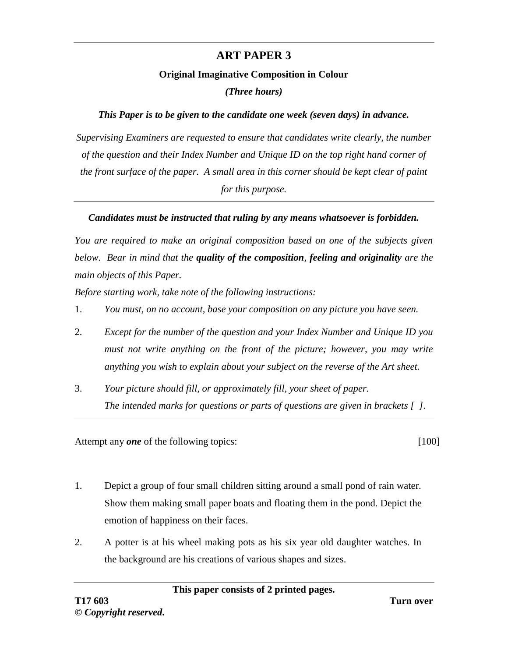## **ART PAPER 3**

## **Original Imaginative Composition in Colour**

*(Three hours)*

## *This Paper is to be given to the candidate one week (seven days) in advance.*

*Supervising Examiners are requested to ensure that candidates write clearly, the number of the question and their Index Number and Unique ID on the top right hand corner of the front surface of the paper. A small area in this corner should be kept clear of paint for this purpose.*

## *Candidates must be instructed that ruling by any means whatsoever is forbidden.*

*You are required to make an original composition based on one of the subjects given below. Bear in mind that the quality of the composition, feeling and originality are the main objects of this Paper.*

*Before starting work, take note of the following instructions:*

- 1. *You must, on no account, base your composition on any picture you have seen.*
- 2. *Except for the number of the question and your Index Number and Unique ID you must not write anything on the front of the picture; however, you may write anything you wish to explain about your subject on the reverse of the Art sheet.*
- 3. *Your picture should fill, or approximately fill, your sheet of paper. The intended marks for questions or parts of questions are given in brackets [ ].*

Attempt any *one* of the following topics: [100]

- 1. Depict a group of four small children sitting around a small pond of rain water. Show them making small paper boats and floating them in the pond. Depict the emotion of happiness on their faces.
- 2. A potter is at his wheel making pots as his six year old daughter watches. In the background are his creations of various shapes and sizes.